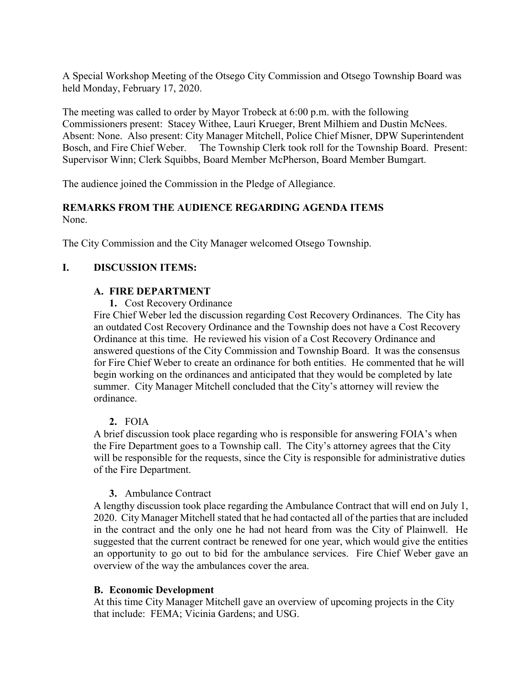A Special Workshop Meeting of the Otsego City Commission and Otsego Township Board was held Monday, February 17, 2020.

The meeting was called to order by Mayor Trobeck at 6:00 p.m. with the following Commissioners present: Stacey Withee, Lauri Krueger, Brent Milhiem and Dustin McNees. Absent: None. Also present: City Manager Mitchell, Police Chief Misner, DPW Superintendent Bosch, and Fire Chief Weber. The Township Clerk took roll for the Township Board. Present: Supervisor Winn; Clerk Squibbs, Board Member McPherson, Board Member Bumgart.

The audience joined the Commission in the Pledge of Allegiance.

### **REMARKS FROM THE AUDIENCE REGARDING AGENDA ITEMS** None.

The City Commission and the City Manager welcomed Otsego Township.

# **I. DISCUSSION ITEMS:**

### **A. FIRE DEPARTMENT**

**1.** Cost Recovery Ordinance

Fire Chief Weber led the discussion regarding Cost Recovery Ordinances. The City has an outdated Cost Recovery Ordinance and the Township does not have a Cost Recovery Ordinance at this time. He reviewed his vision of a Cost Recovery Ordinance and answered questions of the City Commission and Township Board. It was the consensus for Fire Chief Weber to create an ordinance for both entities. He commented that he will begin working on the ordinances and anticipated that they would be completed by late summer. City Manager Mitchell concluded that the City's attorney will review the ordinance.

# **2.** FOIA

A brief discussion took place regarding who is responsible for answering FOIA's when the Fire Department goes to a Township call. The City's attorney agrees that the City will be responsible for the requests, since the City is responsible for administrative duties of the Fire Department.

#### **3.** Ambulance Contract

A lengthy discussion took place regarding the Ambulance Contract that will end on July 1, 2020. City Manager Mitchell stated that he had contacted all of the parties that are included in the contract and the only one he had not heard from was the City of Plainwell. He suggested that the current contract be renewed for one year, which would give the entities an opportunity to go out to bid for the ambulance services. Fire Chief Weber gave an overview of the way the ambulances cover the area.

#### **B. Economic Development**

At this time City Manager Mitchell gave an overview of upcoming projects in the City that include: FEMA; Vicinia Gardens; and USG.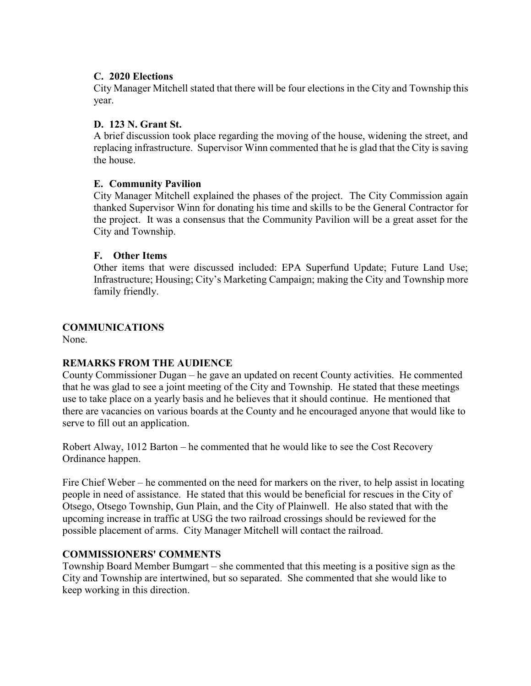# **C. 2020 Elections**

City Manager Mitchell stated that there will be four elections in the City and Township this year.

## **D. 123 N. Grant St.**

A brief discussion took place regarding the moving of the house, widening the street, and replacing infrastructure. Supervisor Winn commented that he is glad that the City is saving the house.

### **E. Community Pavilion**

City Manager Mitchell explained the phases of the project. The City Commission again thanked Supervisor Winn for donating his time and skills to be the General Contractor for the project. It was a consensus that the Community Pavilion will be a great asset for the City and Township.

### **F. Other Items**

Other items that were discussed included: EPA Superfund Update; Future Land Use; Infrastructure; Housing; City's Marketing Campaign; making the City and Township more family friendly.

# **COMMUNICATIONS**

None.

# **REMARKS FROM THE AUDIENCE**

County Commissioner Dugan – he gave an updated on recent County activities. He commented that he was glad to see a joint meeting of the City and Township. He stated that these meetings use to take place on a yearly basis and he believes that it should continue. He mentioned that there are vacancies on various boards at the County and he encouraged anyone that would like to serve to fill out an application.

Robert Alway, 1012 Barton – he commented that he would like to see the Cost Recovery Ordinance happen.

Fire Chief Weber – he commented on the need for markers on the river, to help assist in locating people in need of assistance. He stated that this would be beneficial for rescues in the City of Otsego, Otsego Township, Gun Plain, and the City of Plainwell. He also stated that with the upcoming increase in traffic at USG the two railroad crossings should be reviewed for the possible placement of arms. City Manager Mitchell will contact the railroad.

# **COMMISSIONERS' COMMENTS**

Township Board Member Bumgart – she commented that this meeting is a positive sign as the City and Township are intertwined, but so separated. She commented that she would like to keep working in this direction.